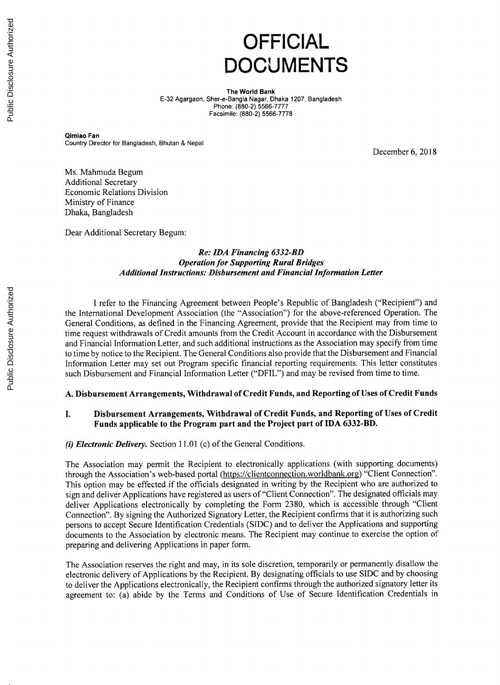# **OFFICIAL DOCUMENTS**

**The World Bank E-32** Agargaon, Sher-e-Bangla Nagar, Dhaka **1207,** Bangladesh **Phone: (880-2) 5566-7777** Facsimile: **(880-2) 5566-7778**

Qimiao Fan Country Director for Bangladesh, Bhutan **&** Nepal

December **6, 2018**

Ms. Mahmuda Begum Additional Secretary Economic Relations Division Ministry of Finance Dhaka, Bangladesh

Dear Additional Secretary Begum:

## *Re: IDA Financing 6332-BD Operation for Supporting Rural Bridges Additional Instructions: Disbursement and Financial Information Letter*

**<sup>I</sup>**refer to the Financing Agreement between People's Republic of Bangladesh ("Recipient") and the International Development Association (the "Association") for the above-referenced Operation. The General Conditions, as defined in the Financing Agreement, provide that the Recipient may from time to time request withdrawals of Credit amounts from the Credit Account in accordance with the Disbursement and Financial Information Letter, and such additional instructions as the Association may specify from time to time **by** notice to the Recipient. The General Conditions also provide that the Disbursement and Financial Information Letter may set out Program specific financial reporting requirements. This letter constitutes such Disbursement and Financial Information Letter ("DFIL") and may be revised from time to time.

# **A. Disbursement Arrangements, Withdrawal of Credit Funds, and Reporting of Uses of Credit Funds**

# **I. Disbursement Arrangements, Withdrawal of Credit Funds, and Reporting of Uses of Credit Funds applicable to the Program part and the Project part of IDA 6332-BD.**

*(i) Electronic Delivery.* Section **11.01** (c) of the General Conditions.

The Association may permit the Recipient to electronically applications (with supporting documents) through the Association's web-based portal (https://clientconnection.worldbank.org) "Client Connection". This option may be effected if the officials designated in writing **by** the Recipient who are authorized to sign and deliver Applications have registered as users of "Client Connection". The designated officials may deliver Applications electronically **by** completing the Form **2380,** which is accessible through "Client Connection". **By** signing the Authorized Signatory Letter, the Recipient confirms that it is authorizing such persons to accept Secure Identification Credentials **(SIDC)** and to deliver the Applications and supporting documents to the Association **by** electronic means. The Recipient may continue to exercise the option of preparing and delivering Applications in paper form.

The Association reserves the right and may, in its sole discretion, temporarily or permanently disallow the electronic delivery of Applications **by** the Recipient. **By** designating officials to use **SIDC** and **by** choosing to deliver the Applications electronically, the Recipient confirms through the authorized signatory letter its agreement to: (a) abide **by** the Terms and Conditions of Use of Secure Identification Credentials in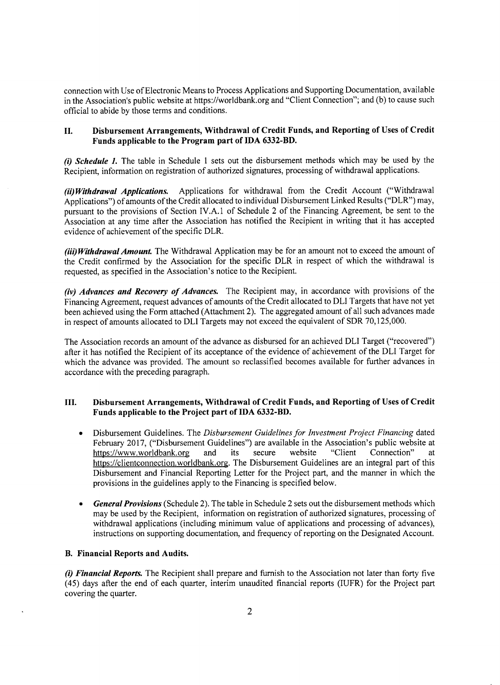connection with Use of Electronic Means to Process Applications and Supporting Documentation, available in the Association's public website at https://worldbank.org and "Client Connection"; and **(b)** to cause such official to abide **by** those terms and conditions.

## **II. Disbursement Arrangements, Withdrawal of Credit Funds, and Reporting of Uses of Credit Funds applicable to the Program part of IDA 6332-BD.**

*(i) Schedule 1.* The table in Schedule **1** sets out the disbursement methods which may be used **by** the Recipient, information on registration of authorized signatures, processing of withdrawal applications.

*(ii) Withdrawal Applications.* Applications for withdrawal from the Credit Account ("Withdrawal Applications") of amounts of the Credit allocated to individual Disbursement Linked Results ("DLR") may, pursuant to the provisions of Section IV.A.1 of Schedule 2 of the Financing Agreement, be sent to the Association at any time after the Association has notified the Recipient in writing that it has accepted evidence of achievement of the specific DLR.

*(iii) Withdrawal Amount.* The Withdrawal Application may be for an amount not to exceed the amount of the Credit confirmed **by** the Association for the specific DLR in respect of which the withdrawal is requested, as specified in the Association's notice to the Recipient.

*(iv) Advances and Recovery of Advances.* The Recipient may, in accordance with provisions of the Financing Agreement, request advances of amounts of the Credit allocated to DLI Targets that have not yet been achieved using the Form attached (Attachment 2). The aggregated amount of all such advances made in respect of amounts allocated to DLI Targets may not exceed the equivalent of SDR **70,125,000.**

The Association records an amount of the advance as disbursed for an achieved DLI Target ("recovered") after it has notified the Recipient of its acceptance of the evidence of achievement of the DLI Target for which the advance was provided. The amount so reclassified becomes available for further advances in accordance with the preceding paragraph.

## **III. Disbursement Arrangements, Withdrawal of Credit Funds, and Reporting of Uses of Credit Funds applicable to the Project part of IDA 6332-BD.**

- \* Disbursement Guidelines. The *Disbursement Guidelines for Investment Project Financing dated* February 2017, ("Disbursement Guidelines") are available in the Association's public website at https://www.worldbank.org and its secure website "Client Connection" at https://www.worldbank.org and its secure website "Client Connection" at https://clientconnection.worldbank.org. The Disbursement Guidelines are an integral part of this Disbursement and Financial Reporting Letter for the Project part, and the manner in which the provisions in the guidelines apply to the Financing is specified below.
- *General Provisions* (Schedule 2). The table in Schedule 2 sets out the disbursement methods which may be used **by** the Recipient, information on registration of authorized signatures, processing of withdrawal applications (including minimum value of applications and processing of advances), instructions on supporting documentation, and frequency of reporting on the Designated Account.

## **B. Financial Reports and Audits.**

*(i) Financial Reports.* The Recipient shall prepare and furnish to the Association not later than forty five (45) days after the end of each quarter, interim unaudited financial reports (IUFR) for the Project part covering the quarter.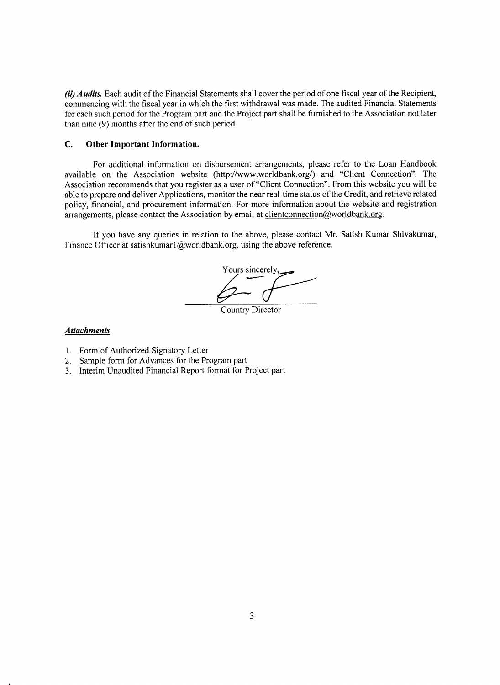*(ii) Audits.* Each audit of the Financial Statements shall cover the period of one fiscal year of the Recipient, commencing with the fiscal year in which the first withdrawal was made. The audited Financial Statements for each such period for the Program part and the Project part shall be furnished to the Association not later than nine **(9)** months after the end of such period.

#### **C. Other Important Information.**

For additional information on disbursement arrangements, please refer to the Loan Handbook available on the Association website (http://www.worldbank.org/) and "Client Connection". The Association recommends that you register as a user of "Client Connection". From this website you will be able to prepare and deliver Applications, monitor the near real-time status of the Credit, and retrieve related policy, financial, and procurement information. For more information about the website and registration arrangements, please contact the Association by email at clientconnection@worldbank.org.

**If** you have any queries in relation to the above, please contact Mr. Satish Kumar Shivakumar, Finance Officer at satishkumarl@worldbank.org, using the above reference.

Yours sincerely,

Country Director

## *Attachments*

- **1.** Form of Authorized Signatory Letter
- 2. Sample form for Advances for the Program part
- **3.** Interim Unaudited Financial Report format for Project part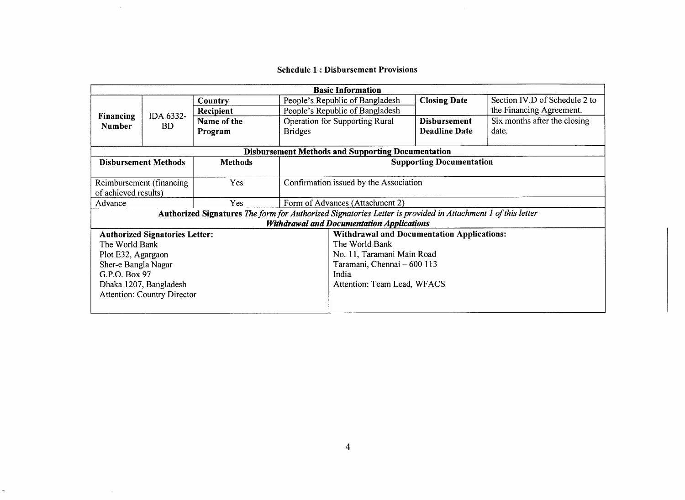# **Schedule 1 : Disbursement Provisions**

 $\sim 10^6$ 

 $\sim 10^7$ 

 $\sim$   $\sim$ 

 $\overline{a}$ 

|                                                                                                             |                                                          |                |                                        | <b>Basic Information</b>                          |                      |                               |  |  |  |
|-------------------------------------------------------------------------------------------------------------|----------------------------------------------------------|----------------|----------------------------------------|---------------------------------------------------|----------------------|-------------------------------|--|--|--|
| Financing<br><b>Number</b>                                                                                  | IDA 6332-<br><b>BD</b>                                   | Country        | People's Republic of Bangladesh        |                                                   | <b>Closing Date</b>  | Section IV.D of Schedule 2 to |  |  |  |
|                                                                                                             |                                                          | Recipient      |                                        | People's Republic of Bangladesh                   |                      | the Financing Agreement.      |  |  |  |
|                                                                                                             |                                                          | Name of the    | <b>Operation for Supporting Rural</b>  |                                                   | <b>Disbursement</b>  | Six months after the closing  |  |  |  |
|                                                                                                             |                                                          | Program        | <b>Bridges</b>                         |                                                   | <b>Deadline Date</b> | date.                         |  |  |  |
|                                                                                                             |                                                          |                |                                        |                                                   |                      |                               |  |  |  |
|                                                                                                             | <b>Disbursement Methods and Supporting Documentation</b> |                |                                        |                                                   |                      |                               |  |  |  |
| <b>Disbursement Methods</b>                                                                                 |                                                          | <b>Methods</b> | <b>Supporting Documentation</b>        |                                                   |                      |                               |  |  |  |
| Reimbursement (financing<br>of achieved results)                                                            |                                                          | Yes            | Confirmation issued by the Association |                                                   |                      |                               |  |  |  |
| Advance                                                                                                     |                                                          | Yes            | Form of Advances (Attachment 2)        |                                                   |                      |                               |  |  |  |
| Authorized Signatures The form for Authorized Signatories Letter is provided in Attachment 1 of this letter |                                                          |                |                                        |                                                   |                      |                               |  |  |  |
|                                                                                                             |                                                          |                |                                        | <b>Withdrawal and Documentation Applications</b>  |                      |                               |  |  |  |
|                                                                                                             | <b>Authorized Signatories Letter:</b>                    |                |                                        | <b>Withdrawal and Documentation Applications:</b> |                      |                               |  |  |  |
| The World Bank                                                                                              |                                                          |                |                                        | The World Bank                                    |                      |                               |  |  |  |
| Plot E32, Agargaon                                                                                          |                                                          |                |                                        | No. 11, Taramani Main Road                        |                      |                               |  |  |  |
| Sher-e Bangla Nagar                                                                                         |                                                          |                |                                        | Taramani, Chennai - 600 113                       |                      |                               |  |  |  |
| G.P.O. Box 97                                                                                               |                                                          |                |                                        | India                                             |                      |                               |  |  |  |
| Dhaka 1207, Bangladesh                                                                                      |                                                          |                |                                        | Attention: Team Lead, WFACS                       |                      |                               |  |  |  |
|                                                                                                             | <b>Attention: Country Director</b>                       |                |                                        |                                                   |                      |                               |  |  |  |
|                                                                                                             |                                                          |                |                                        |                                                   |                      |                               |  |  |  |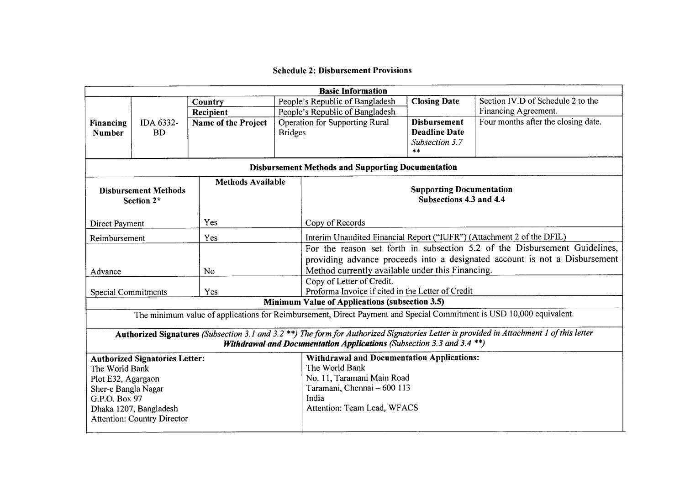# **Schedule 2: Disbursement Provisions**

| <b>Basic Information</b>                                     |            |                          |                                                   |                                                                                                                      |                         |                                                                                                                                         |  |  |  |
|--------------------------------------------------------------|------------|--------------------------|---------------------------------------------------|----------------------------------------------------------------------------------------------------------------------|-------------------------|-----------------------------------------------------------------------------------------------------------------------------------------|--|--|--|
|                                                              |            | Country                  |                                                   | People's Republic of Bangladesh                                                                                      | <b>Closing Date</b>     | Section IV.D of Schedule 2 to the                                                                                                       |  |  |  |
|                                                              |            | Recipient                |                                                   | People's Republic of Bangladesh                                                                                      |                         | Financing Agreement.                                                                                                                    |  |  |  |
| Financing                                                    | IDA 6332-  | Name of the Project      |                                                   | Operation for Supporting Rural                                                                                       | <b>Disbursement</b>     | Four months after the closing date.                                                                                                     |  |  |  |
| <b>Number</b>                                                | <b>BD</b>  |                          | <b>Bridges</b>                                    |                                                                                                                      | <b>Deadline Date</b>    |                                                                                                                                         |  |  |  |
|                                                              |            |                          |                                                   |                                                                                                                      | Subsection 3.7<br>$***$ |                                                                                                                                         |  |  |  |
| <b>Disbursement Methods and Supporting Documentation</b>     |            |                          |                                                   |                                                                                                                      |                         |                                                                                                                                         |  |  |  |
|                                                              |            | <b>Methods Available</b> |                                                   |                                                                                                                      |                         |                                                                                                                                         |  |  |  |
| <b>Disbursement Methods</b>                                  |            |                          |                                                   | <b>Supporting Documentation</b>                                                                                      |                         |                                                                                                                                         |  |  |  |
|                                                              | Section 2* |                          |                                                   |                                                                                                                      | Subsections 4.3 and 4.4 |                                                                                                                                         |  |  |  |
|                                                              |            |                          |                                                   |                                                                                                                      |                         |                                                                                                                                         |  |  |  |
| Direct Payment                                               |            | Yes                      |                                                   | Copy of Records                                                                                                      |                         |                                                                                                                                         |  |  |  |
| Reimbursement                                                |            | Yes                      |                                                   | Interim Unaudited Financial Report ("IUFR") (Attachment 2 of the DFIL)                                               |                         |                                                                                                                                         |  |  |  |
|                                                              |            |                          |                                                   |                                                                                                                      |                         | For the reason set forth in subsection 5.2 of the Disbursement Guidelines,                                                              |  |  |  |
|                                                              |            |                          |                                                   | providing advance proceeds into a designated account is not a Disbursement                                           |                         |                                                                                                                                         |  |  |  |
| Advance                                                      |            | No                       |                                                   | Method currently available under this Financing.                                                                     |                         |                                                                                                                                         |  |  |  |
|                                                              |            |                          |                                                   | Copy of Letter of Credit.                                                                                            |                         |                                                                                                                                         |  |  |  |
| Yes<br><b>Special Commitments</b>                            |            |                          | Proforma Invoice if cited in the Letter of Credit |                                                                                                                      |                         |                                                                                                                                         |  |  |  |
|                                                              |            |                          |                                                   | <b>Minimum Value of Applications (subsection 3.5)</b>                                                                |                         |                                                                                                                                         |  |  |  |
|                                                              |            |                          |                                                   | The minimum value of applications for Reimbursement, Direct Payment and Special Commitment is USD 10,000 equivalent. |                         |                                                                                                                                         |  |  |  |
|                                                              |            |                          |                                                   |                                                                                                                      |                         | Authorized Signatures (Subsection 3.1 and 3.2 **) The form for Authorized Signatories Letter is provided in Attachment 1 of this letter |  |  |  |
|                                                              |            |                          |                                                   | <b>Withdrawal and Documentation Applications</b> (Subsection 3.3 and 3.4 $**$ )                                      |                         |                                                                                                                                         |  |  |  |
| <b>Authorized Signatories Letter:</b>                        |            |                          |                                                   | <b>Withdrawal and Documentation Applications:</b>                                                                    |                         |                                                                                                                                         |  |  |  |
| The World Bank                                               |            |                          |                                                   | The World Bank                                                                                                       |                         |                                                                                                                                         |  |  |  |
| Plot E32, Agargaon                                           |            |                          |                                                   | No. 11, Taramani Main Road                                                                                           |                         |                                                                                                                                         |  |  |  |
| Sher-e Bangla Nagar                                          |            |                          |                                                   | Taramani, Chennai - 600 113                                                                                          |                         |                                                                                                                                         |  |  |  |
| G.P.O. Box 97                                                |            |                          |                                                   | India                                                                                                                |                         |                                                                                                                                         |  |  |  |
| Dhaka 1207, Bangladesh<br><b>Attention: Country Director</b> |            |                          | Attention: Team Lead, WFACS                       |                                                                                                                      |                         |                                                                                                                                         |  |  |  |
|                                                              |            |                          |                                                   |                                                                                                                      |                         |                                                                                                                                         |  |  |  |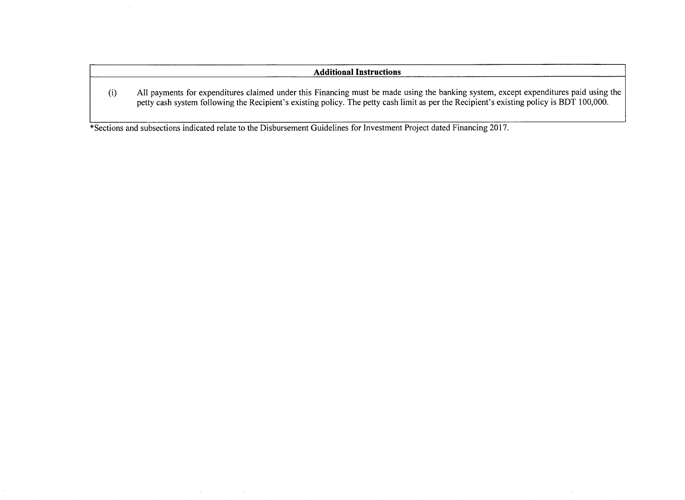## **Additional Instructions**

(i) **All** payments for expenditures claimed under this Financing must be made using the banking system, except expenditures paid using the petty cash system following the Recipient's existing policy. The petty cash limit as per the Recipient's existing policy is BDT **100,000.**

 $\bar{\lambda}$ 

\*Sections and subsections indicated relate to the Disbursement Guidelines for Investment Project dated Financing **2017.**

 $\sim 0.01$ 

 $\sim 10^{11}$  km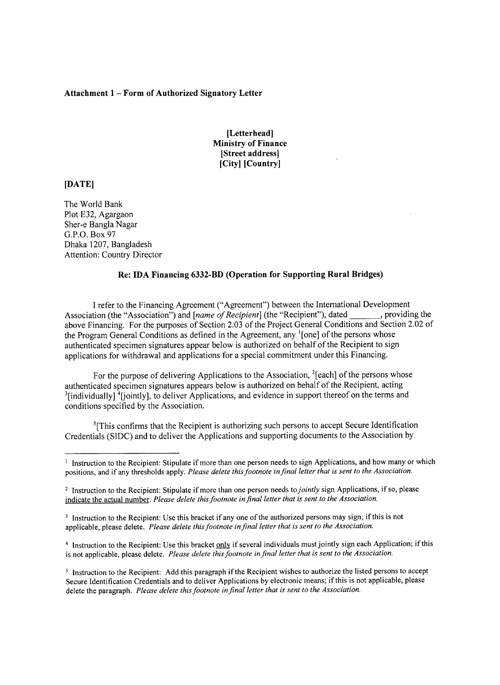## **Attachment 1 - Form of Authorized Signatory Letter**

## **[Letterhead] Ministry of Finance [Street address] [City] [Country]**

## **[DATE]**

The World Bank Plot **E32,** Agargaon Sher-e Bangla Nagar **G.P.O.** Box **97** Dhaka **1207,** Bangladesh Attention: Country Director

## **Re: IDA Financing 6332-BD (Operation for Supporting Rural Bridges)**

**<sup>I</sup>**refer to the Financing Agreement ("Agreement") between the International Development Association (the "Association") and *[name of Recipient*] (the "Recipient"), dated \_\_\_\_\_\_, providing the above Financing. For the purposes of Section **2.03** of the Project General Conditions and Section 2.02 of the Program General Conditions as defined in the Agreement, any '[one] of the persons whose authenticated specimen signatures appear below is authorized on behalf of the Recipient to sign applications for withdrawal and applications for a special commitment under this Financing.

For the purpose of delivering Applications to the Association,  $^{2}$ [each] of the persons whose authenticated specimen signatures appears below is authorized on behalf of the Recipient, acting <sup>3</sup>[individually] <sup>4</sup>[jointly], to deliver Applications, and evidence in support thereof on the terms and conditions specified **by** the Association.

 ${}^{5}$ [This confirms that the Recipient is authorizing such persons to accept Secure Identification Credentials **(SIDC)** and to deliver the Applications and supporting documents to the Association **by**

<sup>&</sup>lt;sup>1</sup> Instruction to the Recipient: Stipulate if more than one person needs to sign Applications, and how many or which positions, and if any thresholds apply. *Please delete this footnote in final letter that is sent to the Association.*

<sup>2</sup> Instruction to the Recipient: Stipulate if more than one person needs *to jointly* sign Applications, if so, please indicate the actual number. *Please delete this footnote in final letter that is sent to the Association.*

<sup>&</sup>lt;sup>3</sup> Instruction to the Recipient: Use this bracket if any one of the authorized persons may sign; if this is not applicable, please delete. *Please delete this footnote in final letter that is sent to the Association.*

<sup>4</sup> Instruction to the Recipient: Use this bracket only if several individuals must jointly sign each Application; if this is not applicable, please delete. *Please delete this footnote in final letter that is sent to the Association.*

**<sup>5</sup>** Instruction to the Recipient: **Add** this paragraph if the Recipient wishes to authorize the listed persons to accept Secure Identification Credentials and to deliver Applications **by** electronic means; if this is not applicable, please delete the paragraph. *Please delete this footnote in final letter that is sent to the Association.*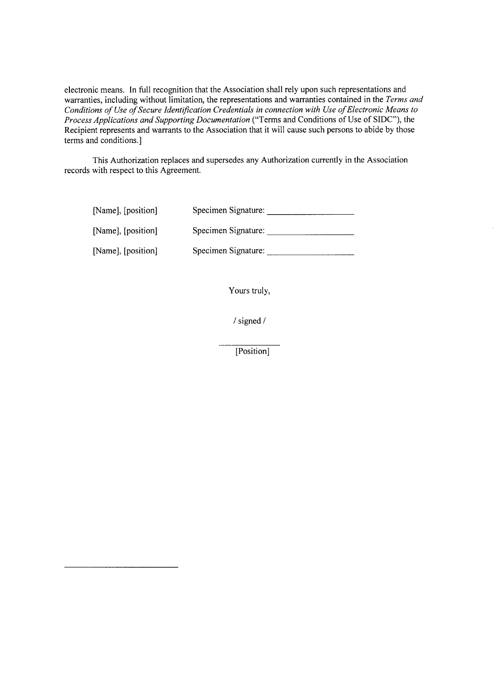electronic means. In full recognition that the Association shall rely upon such representations and warranties, including without limitation, the representations and warranties contained in the *Terms and* Conditions of Use of Secure Identification Credentials in connection with Use of Electronic Means to *Process Applications and Supporting Documentation* ("Terms and Conditions of Use of **SIDC"),** the Recipient represents and warrants to the Association that it will cause such persons to abide **by** those terms and conditions.]

This Authorization replaces and supersedes any Authorization currently in the Association records with respect to this Agreement.

| [Name], [position] | Specimen Signature: |
|--------------------|---------------------|
| [Name], [position] | Specimen Signature: |
| [Name], [position] | Specimen Signature: |

 $\sim$ 

Yours truly,

 $\mathcal{A}$ 

**/** signed

[Position]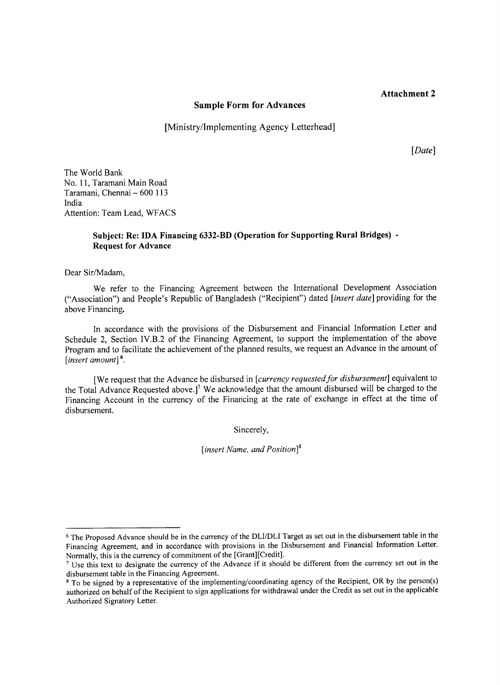## **Attachment 2**

#### **Sample Form for Advances**

[Ministry/Implementing Agency Letterhead]

[Date]

The World Bank No. **11,** Taramani Main Road Taramani, Chennai **- 600 113** India Attention: Team Lead, **WFACS**

# **Subject: Re: IDA Financing 6332-BD (Operation for Supporting Rural Bridges) Request for Advance**

Dear Sir/Madam,

We refer to the Financing Agreement between the International Development Association ("Association") and People's Republic of Bangladesh ("Recipient") dated *[insert date]* providing for the above Financing.

In accordance with the provisions of the Disbursement and Financial Information Letter and Schedule 2, Section IV.B.2 of the Financing Agreement, to support the implementation of the above Program and to facilitate the achievement of the planned results, we request an Advance in the amount of *[insert amount] <sup>6</sup>*

[We request that the Advance be disbursed in *[currency requested for disbursement]* equivalent to the Total Advance Requested above.]<sup>7</sup> We acknowledge that the amount disbursed will be charged to the Financing Account in the currency of the Financing at the rate of exchange in effect at the time of disbursement.

Sincerely,

*[insert Name, and Position]8*

**<sup>6</sup>** The Proposed Advance should be in the currency of the DLI/DLI Target as set out in the disbursement table in the Financing Agreement, and in accordance with provisions in the Disbursement and Financial Information Letter. Normally, this is the currency of commitment of the [Grant][Credit].

<sup>&</sup>lt;sup>7</sup> Use this text to designate the currency of the Advance if it should be different from the currency set out in the disbursement table in the Financing Agreement.

**<sup>8</sup>** To be signed **by** a representative of the implementing/coordinating agency of the Recipient, OR **by** the person(s) authorized on behalf of the Recipient to sign applications for withdrawal under the Credit as set out in the applicable Authorized Signatory Letter.